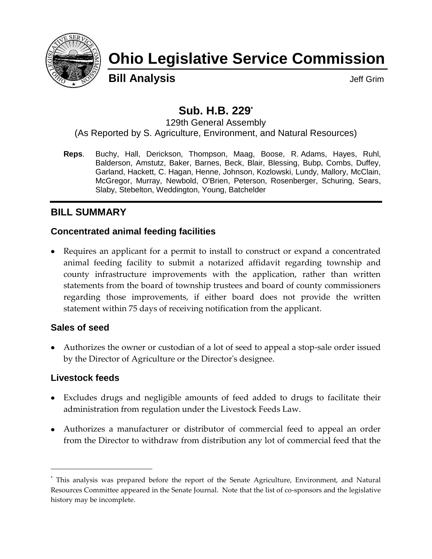

# **Ohio Legislative Service Commission**

**Bill Analysis Discriming Structure Control Control Control Control Control Control Control Control Control Control Control Control Control Control Control Control Control Control Control Control Control Control Control** 

## **Sub. H.B. 229\***

129th General Assembly (As Reported by S. Agriculture, Environment, and Natural Resources)

**Reps**. Buchy, Hall, Derickson, Thompson, Maag, Boose, R. Adams, Hayes, Ruhl, Balderson, Amstutz, Baker, Barnes, Beck, Blair, Blessing, Bubp, Combs, Duffey, Garland, Hackett, C. Hagan, Henne, Johnson, Kozlowski, Lundy, Mallory, McClain, McGregor, Murray, Newbold, O'Brien, Peterson, Rosenberger, Schuring, Sears, Slaby, Stebelton, Weddington, Young, Batchelder

## **BILL SUMMARY**

## **Concentrated animal feeding facilities**

• Requires an applicant for a permit to install to construct or expand a concentrated animal feeding facility to submit a notarized affidavit regarding township and county infrastructure improvements with the application, rather than written statements from the board of township trustees and board of county commissioners regarding those improvements, if either board does not provide the written statement within 75 days of receiving notification from the applicant.

## **Sales of seed**

Authorizes the owner or custodian of a lot of seed to appeal a stop-sale order issued by the Director of Agriculture or the Director's designee.

## **Livestock feeds**

- Excludes drugs and negligible amounts of feed added to drugs to facilitate their administration from regulation under the Livestock Feeds Law.
- Authorizes a manufacturer or distributor of commercial feed to appeal an order from the Director to withdraw from distribution any lot of commercial feed that the

<sup>\*</sup> This analysis was prepared before the report of the Senate Agriculture, Environment, and Natural Resources Committee appeared in the Senate Journal. Note that the list of co-sponsors and the legislative history may be incomplete.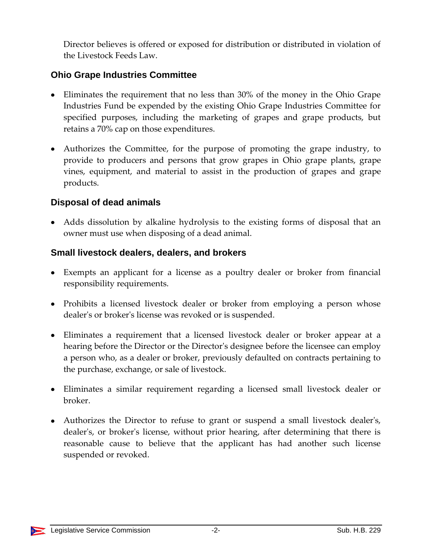Director believes is offered or exposed for distribution or distributed in violation of the Livestock Feeds Law.

## **Ohio Grape Industries Committee**

- Eliminates the requirement that no less than 30% of the money in the Ohio Grape Industries Fund be expended by the existing Ohio Grape Industries Committee for specified purposes, including the marketing of grapes and grape products, but retains a 70% cap on those expenditures.
- Authorizes the Committee, for the purpose of promoting the grape industry, to provide to producers and persons that grow grapes in Ohio grape plants, grape vines, equipment, and material to assist in the production of grapes and grape products.

## **Disposal of dead animals**

Adds dissolution by alkaline hydrolysis to the existing forms of disposal that an owner must use when disposing of a dead animal.

## **Small livestock dealers, dealers, and brokers**

- Exempts an applicant for a license as a poultry dealer or broker from financial responsibility requirements.
- Prohibits a licensed livestock dealer or broker from employing a person whose dealer's or broker's license was revoked or is suspended.
- Eliminates a requirement that a licensed livestock dealer or broker appear at a hearing before the Director or the Director's designee before the licensee can employ a person who, as a dealer or broker, previously defaulted on contracts pertaining to the purchase, exchange, or sale of livestock.
- Eliminates a similar requirement regarding a licensed small livestock dealer or broker.
- Authorizes the Director to refuse to grant or suspend a small livestock dealer's, dealer's, or broker's license, without prior hearing, after determining that there is reasonable cause to believe that the applicant has had another such license suspended or revoked.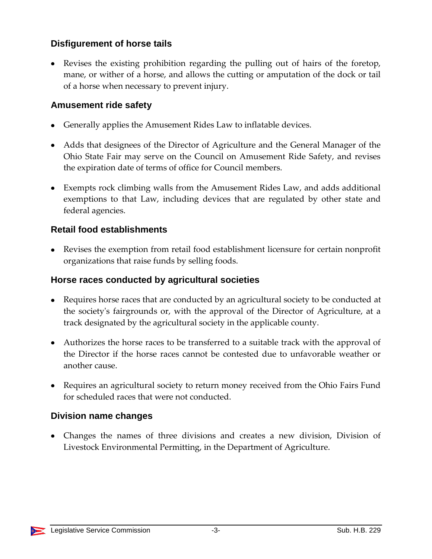## **Disfigurement of horse tails**

Revises the existing prohibition regarding the pulling out of hairs of the foretop, mane, or wither of a horse, and allows the cutting or amputation of the dock or tail of a horse when necessary to prevent injury.

### **Amusement ride safety**

- Generally applies the Amusement Rides Law to inflatable devices.
- Adds that designees of the Director of Agriculture and the General Manager of the Ohio State Fair may serve on the Council on Amusement Ride Safety, and revises the expiration date of terms of office for Council members.
- Exempts rock climbing walls from the Amusement Rides Law, and adds additional exemptions to that Law, including devices that are regulated by other state and federal agencies.

## **Retail food establishments**

Revises the exemption from retail food establishment licensure for certain nonprofit organizations that raise funds by selling foods.

### **Horse races conducted by agricultural societies**

- Requires horse races that are conducted by an agricultural society to be conducted at the society's fairgrounds or, with the approval of the Director of Agriculture, at a track designated by the agricultural society in the applicable county.
- Authorizes the horse races to be transferred to a suitable track with the approval of the Director if the horse races cannot be contested due to unfavorable weather or another cause.
- Requires an agricultural society to return money received from the Ohio Fairs Fund for scheduled races that were not conducted.

## **Division name changes**

Changes the names of three divisions and creates a new division, Division of Livestock Environmental Permitting, in the Department of Agriculture.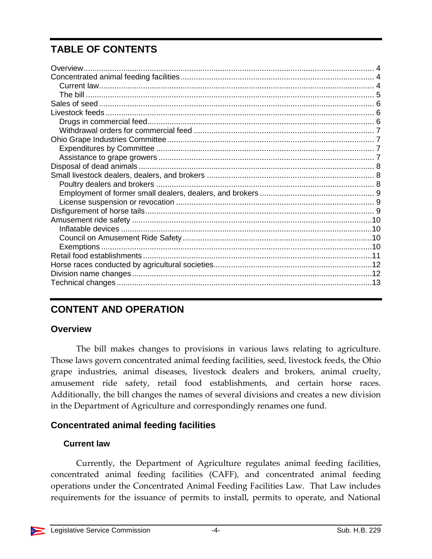## **TABLE OF CONTENTS**

## **CONTENT AND OPERATION**

## <span id="page-3-0"></span>**Overview**

The bill makes changes to provisions in various laws relating to agriculture. Those laws govern concentrated animal feeding facilities, seed, livestock feeds, the Ohio grape industries, animal diseases, livestock dealers and brokers, animal cruelty, amusement ride safety, retail food establishments, and certain horse races. Additionally, the bill changes the names of several divisions and creates a new division in the Department of Agriculture and correspondingly renames one fund.

## <span id="page-3-1"></span>**Concentrated animal feeding facilities**

## <span id="page-3-2"></span>**Current law**

Currently, the Department of Agriculture regulates animal feeding facilities, concentrated animal feeding facilities (CAFF), and concentrated animal feeding operations under the Concentrated Animal Feeding Facilities Law. That Law includes requirements for the issuance of permits to install, permits to operate, and National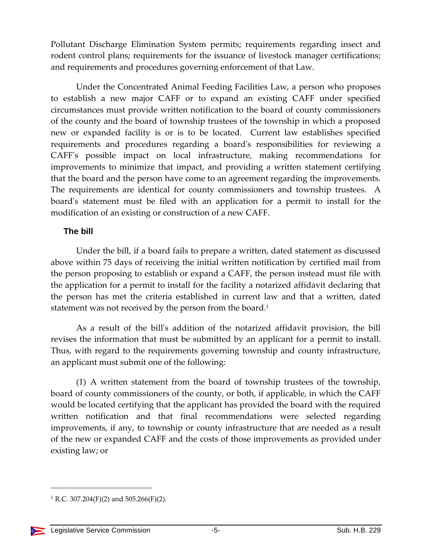Pollutant Discharge Elimination System permits; requirements regarding insect and rodent control plans; requirements for the issuance of livestock manager certifications; and requirements and procedures governing enforcement of that Law.

Under the Concentrated Animal Feeding Facilities Law, a person who proposes to establish a new major CAFF or to expand an existing CAFF under specified circumstances must provide written notification to the board of county commissioners of the county and the board of township trustees of the township in which a proposed new or expanded facility is or is to be located. Current law establishes specified requirements and procedures regarding a board's responsibilities for reviewing a CAFF's possible impact on local infrastructure, making recommendations for improvements to minimize that impact, and providing a written statement certifying that the board and the person have come to an agreement regarding the improvements. The requirements are identical for county commissioners and township trustees. A board's statement must be filed with an application for a permit to install for the modification of an existing or construction of a new CAFF.

#### <span id="page-4-0"></span>**The bill**

Under the bill, if a board fails to prepare a written, dated statement as discussed above within 75 days of receiving the initial written notification by certified mail from the person proposing to establish or expand a CAFF, the person instead must file with the application for a permit to install for the facility a notarized affidavit declaring that the person has met the criteria established in current law and that a written, dated statement was not received by the person from the board.<sup>1</sup>

As a result of the bill's addition of the notarized affidavit provision, the bill revises the information that must be submitted by an applicant for a permit to install. Thus, with regard to the requirements governing township and county infrastructure, an applicant must submit one of the following:

(1) A written statement from the board of township trustees of the township, board of county commissioners of the county, or both, if applicable, in which the CAFF would be located certifying that the applicant has provided the board with the required written notification and that final recommendations were selected regarding improvements, if any, to township or county infrastructure that are needed as a result of the new or expanded CAFF and the costs of those improvements as provided under existing law; or

<sup>&</sup>lt;sup>1</sup> R.C. 307.204(F)(2) and 505.266(F)(2).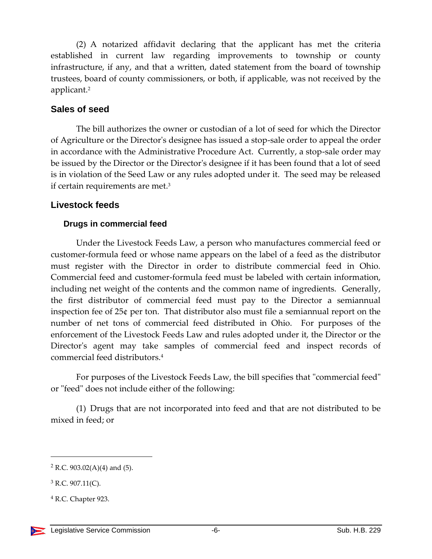(2) A notarized affidavit declaring that the applicant has met the criteria established in current law regarding improvements to township or county infrastructure, if any, and that a written, dated statement from the board of township trustees, board of county commissioners, or both, if applicable, was not received by the applicant.<sup>2</sup>

#### <span id="page-5-0"></span>**Sales of seed**

The bill authorizes the owner or custodian of a lot of seed for which the Director of Agriculture or the Director's designee has issued a stop-sale order to appeal the order in accordance with the Administrative Procedure Act. Currently, a stop-sale order may be issued by the Director or the Director's designee if it has been found that a lot of seed is in violation of the Seed Law or any rules adopted under it. The seed may be released if certain requirements are met.<sup>3</sup>

## <span id="page-5-1"></span>**Livestock feeds**

## <span id="page-5-2"></span>**Drugs in commercial feed**

Under the Livestock Feeds Law, a person who manufactures commercial feed or customer-formula feed or whose name appears on the label of a feed as the distributor must register with the Director in order to distribute commercial feed in Ohio. Commercial feed and customer-formula feed must be labeled with certain information, including net weight of the contents and the common name of ingredients. Generally, the first distributor of commercial feed must pay to the Director a semiannual inspection fee of 25¢ per ton. That distributor also must file a semiannual report on the number of net tons of commercial feed distributed in Ohio. For purposes of the enforcement of the Livestock Feeds Law and rules adopted under it, the Director or the Director's agent may take samples of commercial feed and inspect records of commercial feed distributors.<sup>4</sup>

For purposes of the Livestock Feeds Law, the bill specifies that "commercial feed" or "feed" does not include either of the following:

(1) Drugs that are not incorporated into feed and that are not distributed to be mixed in feed; or

 $2$  R.C. 903.02(A)(4) and (5).

 $3$  R.C. 907.11(C).

<sup>4</sup> R.C. Chapter 923.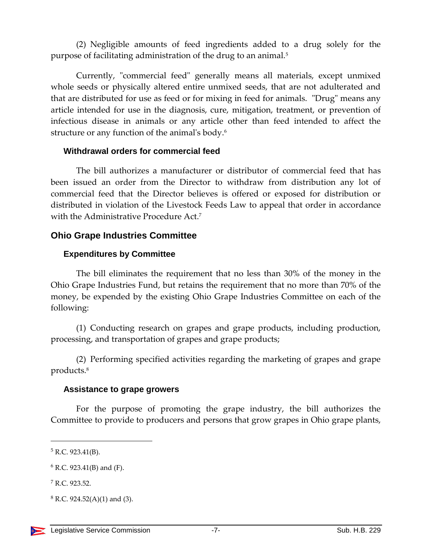(2) Negligible amounts of feed ingredients added to a drug solely for the purpose of facilitating administration of the drug to an animal.<sup>5</sup>

Currently, "commercial feed" generally means all materials, except unmixed whole seeds or physically altered entire unmixed seeds, that are not adulterated and that are distributed for use as feed or for mixing in feed for animals. "Drug" means any article intended for use in the diagnosis, cure, mitigation, treatment, or prevention of infectious disease in animals or any article other than feed intended to affect the structure or any function of the animal's body.<sup>6</sup>

#### <span id="page-6-0"></span>**Withdrawal orders for commercial feed**

The bill authorizes a manufacturer or distributor of commercial feed that has been issued an order from the Director to withdraw from distribution any lot of commercial feed that the Director believes is offered or exposed for distribution or distributed in violation of the Livestock Feeds Law to appeal that order in accordance with the Administrative Procedure Act.<sup>7</sup>

#### <span id="page-6-1"></span>**Ohio Grape Industries Committee**

#### <span id="page-6-2"></span>**Expenditures by Committee**

The bill eliminates the requirement that no less than 30% of the money in the Ohio Grape Industries Fund, but retains the requirement that no more than 70% of the money, be expended by the existing Ohio Grape Industries Committee on each of the following:

(1) Conducting research on grapes and grape products, including production, processing, and transportation of grapes and grape products;

(2) Performing specified activities regarding the marketing of grapes and grape products.<sup>8</sup>

#### <span id="page-6-3"></span>**Assistance to grape growers**

For the purpose of promoting the grape industry, the bill authorizes the Committee to provide to producers and persons that grow grapes in Ohio grape plants,

 $5$  R.C. 923.41(B).

 $6$  R.C. 923.41(B) and (F).

<sup>7</sup> R.C. 923.52.

 $8$  R.C. 924.52(A)(1) and (3).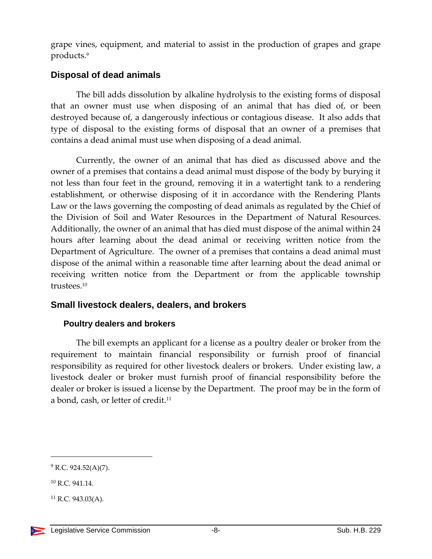grape vines, equipment, and material to assist in the production of grapes and grape products.<sup>9</sup>

## <span id="page-7-0"></span>**Disposal of dead animals**

The bill adds dissolution by alkaline hydrolysis to the existing forms of disposal that an owner must use when disposing of an animal that has died of, or been destroyed because of, a dangerously infectious or contagious disease. It also adds that type of disposal to the existing forms of disposal that an owner of a premises that contains a dead animal must use when disposing of a dead animal.

Currently, the owner of an animal that has died as discussed above and the owner of a premises that contains a dead animal must dispose of the body by burying it not less than four feet in the ground, removing it in a watertight tank to a rendering establishment, or otherwise disposing of it in accordance with the Rendering Plants Law or the laws governing the composting of dead animals as regulated by the Chief of the Division of Soil and Water Resources in the Department of Natural Resources. Additionally, the owner of an animal that has died must dispose of the animal within 24 hours after learning about the dead animal or receiving written notice from the Department of Agriculture. The owner of a premises that contains a dead animal must dispose of the animal within a reasonable time after learning about the dead animal or receiving written notice from the Department or from the applicable township trustees<sup>10</sup>

## <span id="page-7-1"></span>**Small livestock dealers, dealers, and brokers**

## <span id="page-7-2"></span>**Poultry dealers and brokers**

The bill exempts an applicant for a license as a poultry dealer or broker from the requirement to maintain financial responsibility or furnish proof of financial responsibility as required for other livestock dealers or brokers. Under existing law, a livestock dealer or broker must furnish proof of financial responsibility before the dealer or broker is issued a license by the Department. The proof may be in the form of a bond, cash, or letter of credit.<sup>11</sup>

 $9$  R.C. 924.52(A)(7).

<sup>10</sup> R.C. 941.14.

 $11$  R.C. 943.03(A).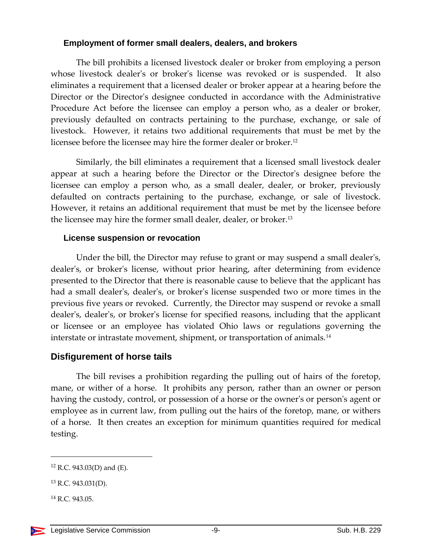#### <span id="page-8-0"></span>**Employment of former small dealers, dealers, and brokers**

The bill prohibits a licensed livestock dealer or broker from employing a person whose livestock dealer's or broker's license was revoked or is suspended. It also eliminates a requirement that a licensed dealer or broker appear at a hearing before the Director or the Director's designee conducted in accordance with the Administrative Procedure Act before the licensee can employ a person who, as a dealer or broker, previously defaulted on contracts pertaining to the purchase, exchange, or sale of livestock. However, it retains two additional requirements that must be met by the licensee before the licensee may hire the former dealer or broker.<sup>12</sup>

Similarly, the bill eliminates a requirement that a licensed small livestock dealer appear at such a hearing before the Director or the Director's designee before the licensee can employ a person who, as a small dealer, dealer, or broker, previously defaulted on contracts pertaining to the purchase, exchange, or sale of livestock. However, it retains an additional requirement that must be met by the licensee before the licensee may hire the former small dealer, dealer, or broker.<sup>13</sup>

#### <span id="page-8-1"></span>**License suspension or revocation**

Under the bill, the Director may refuse to grant or may suspend a small dealer's, dealer's, or broker's license, without prior hearing, after determining from evidence presented to the Director that there is reasonable cause to believe that the applicant has had a small dealer's, dealer's, or broker's license suspended two or more times in the previous five years or revoked. Currently, the Director may suspend or revoke a small dealer's, dealer's, or broker's license for specified reasons, including that the applicant or licensee or an employee has violated Ohio laws or regulations governing the interstate or intrastate movement, shipment, or transportation of animals.<sup>14</sup>

## <span id="page-8-2"></span>**Disfigurement of horse tails**

The bill revises a prohibition regarding the pulling out of hairs of the foretop, mane, or wither of a horse. It prohibits any person, rather than an owner or person having the custody, control, or possession of a horse or the owner's or person's agent or employee as in current law, from pulling out the hairs of the foretop, mane, or withers of a horse. It then creates an exception for minimum quantities required for medical testing.

<sup>12</sup> R.C. 943.03(D) and (E).

 $13$  R.C. 943.031(D).

<sup>14</sup> R.C. 943.05.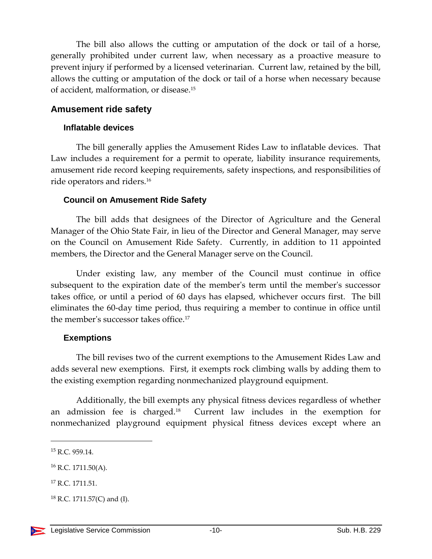The bill also allows the cutting or amputation of the dock or tail of a horse, generally prohibited under current law, when necessary as a proactive measure to prevent injury if performed by a licensed veterinarian. Current law, retained by the bill, allows the cutting or amputation of the dock or tail of a horse when necessary because of accident, malformation, or disease.<sup>15</sup>

#### <span id="page-9-0"></span>**Amusement ride safety**

#### <span id="page-9-1"></span>**Inflatable devices**

The bill generally applies the Amusement Rides Law to inflatable devices. That Law includes a requirement for a permit to operate, liability insurance requirements, amusement ride record keeping requirements, safety inspections, and responsibilities of ride operators and riders.<sup>16</sup>

#### <span id="page-9-2"></span>**Council on Amusement Ride Safety**

The bill adds that designees of the Director of Agriculture and the General Manager of the Ohio State Fair, in lieu of the Director and General Manager, may serve on the Council on Amusement Ride Safety. Currently, in addition to 11 appointed members, the Director and the General Manager serve on the Council.

Under existing law, any member of the Council must continue in office subsequent to the expiration date of the member's term until the member's successor takes office, or until a period of 60 days has elapsed, whichever occurs first. The bill eliminates the 60-day time period, thus requiring a member to continue in office until the member's successor takes office.<sup>17</sup>

#### <span id="page-9-3"></span>**Exemptions**

The bill revises two of the current exemptions to the Amusement Rides Law and adds several new exemptions. First, it exempts rock climbing walls by adding them to the existing exemption regarding nonmechanized playground equipment.

Additionally, the bill exempts any physical fitness devices regardless of whether an admission fee is charged.<sup>18</sup> Current law includes in the exemption for nonmechanized playground equipment physical fitness devices except where an

<sup>15</sup> R.C. 959.14.

 $16$  R.C. 1711.50(A).

<sup>&</sup>lt;sup>17</sup> R.C. 1711.51.

 $18$  R.C. 1711.57(C) and (I).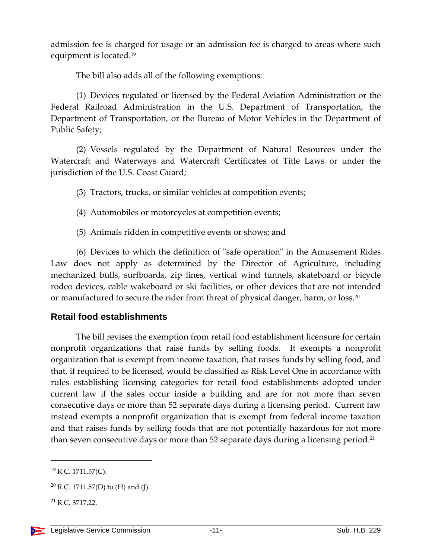admission fee is charged for usage or an admission fee is charged to areas where such equipment is located.<sup>19</sup>

The bill also adds all of the following exemptions:

(1) Devices regulated or licensed by the Federal Aviation Administration or the Federal Railroad Administration in the U.S. Department of Transportation, the Department of Transportation, or the Bureau of Motor Vehicles in the Department of Public Safety;

(2) Vessels regulated by the Department of Natural Resources under the Watercraft and Waterways and Watercraft Certificates of Title Laws or under the jurisdiction of the U.S. Coast Guard;

(3) Tractors, trucks, or similar vehicles at competition events;

- (4) Automobiles or motorcycles at competition events;
- (5) Animals ridden in competitive events or shows; and

(6) Devices to which the definition of "safe operation" in the Amusement Rides Law does not apply as determined by the Director of Agriculture, including mechanized bulls, surfboards, zip lines, vertical wind tunnels, skateboard or bicycle rodeo devices, cable wakeboard or ski facilities, or other devices that are not intended or manufactured to secure the rider from threat of physical danger, harm, or loss.<sup>20</sup>

## <span id="page-10-0"></span>**Retail food establishments**

The bill revises the exemption from retail food establishment licensure for certain nonprofit organizations that raise funds by selling foods. It exempts a nonprofit organization that is exempt from income taxation, that raises funds by selling food, and that, if required to be licensed, would be classified as Risk Level One in accordance with rules establishing licensing categories for retail food establishments adopted under current law if the sales occur inside a building and are for not more than seven consecutive days or more than 52 separate days during a licensing period. Current law instead exempts a nonprofit organization that is exempt from federal income taxation and that raises funds by selling foods that are not potentially hazardous for not more than seven consecutive days or more than 52 separate days during a licensing period.<sup>21</sup>

<sup>19</sup> R.C. 1711.57(C).

<sup>&</sup>lt;sup>20</sup> R.C. 1711.57(D) to (H) and (J).

<sup>21</sup> R.C. 3717.22.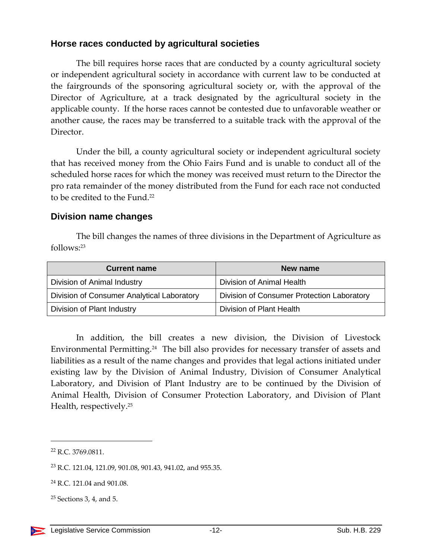### <span id="page-11-0"></span>**Horse races conducted by agricultural societies**

The bill requires horse races that are conducted by a county agricultural society or independent agricultural society in accordance with current law to be conducted at the fairgrounds of the sponsoring agricultural society or, with the approval of the Director of Agriculture, at a track designated by the agricultural society in the applicable county. If the horse races cannot be contested due to unfavorable weather or another cause, the races may be transferred to a suitable track with the approval of the Director.

Under the bill, a county agricultural society or independent agricultural society that has received money from the Ohio Fairs Fund and is unable to conduct all of the scheduled horse races for which the money was received must return to the Director the pro rata remainder of the money distributed from the Fund for each race not conducted to be credited to the Fund.<sup>22</sup>

#### <span id="page-11-1"></span>**Division name changes**

The bill changes the names of three divisions in the Department of Agriculture as follows:<sup>23</sup>

| <b>Current name</b>                        | New name                                   |
|--------------------------------------------|--------------------------------------------|
| Division of Animal Industry                | Division of Animal Health                  |
| Division of Consumer Analytical Laboratory | Division of Consumer Protection Laboratory |
| Division of Plant Industry                 | Division of Plant Health                   |

In addition, the bill creates a new division, the Division of Livestock Environmental Permitting.<sup>24</sup> The bill also provides for necessary transfer of assets and liabilities as a result of the name changes and provides that legal actions initiated under existing law by the Division of Animal Industry, Division of Consumer Analytical Laboratory, and Division of Plant Industry are to be continued by the Division of Animal Health, Division of Consumer Protection Laboratory, and Division of Plant Health, respectively.<sup>25</sup>

<sup>22</sup> R.C. 3769.0811.

<sup>23</sup> R.C. 121.04, 121.09, 901.08, 901.43, 941.02, and 955.35.

<sup>24</sup> R.C. 121.04 and 901.08.

 $25$  Sections 3, 4, and 5.